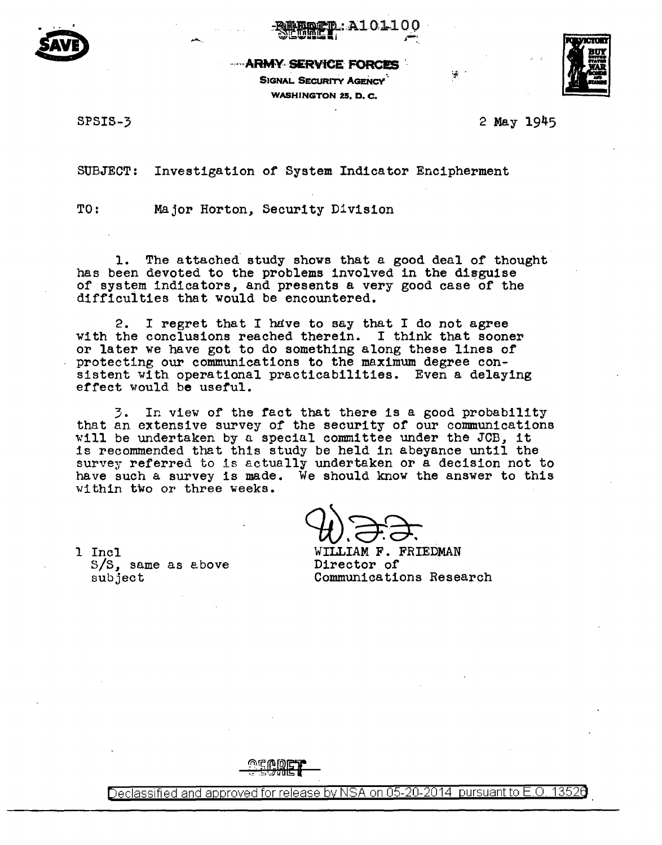



**--- ARMY SERVICE FORCES** 

**SIGNAL SECURITY AGENCY WASHINGTON 25. D. C.** 



SPSIS-3

2 May 1945

iá.

SUBJECT: Investigation of System Indicator Encipherment

TO: Major Horton. Security Division

The attached study shows that a good deal of thought 1. has been devoted to the problems involved in the disguise of system indicators, and presents a very good case of the difficulties that would be encountered.

I regret that I have to say that I do not agree 2. with the conclusions reached therein. I think that sooner or later we have got to do something along these lines of protecting our communications to the maximum degree consistent with operational practicabilities. Even a delaying effect would be useful.

3. In view of the fact that there is a good probability that an extensive survey of the security of our communications will be undertaken by a special committee under the JCB, it is recommended that this study be held in abeyance until the survey referred to is actually undertaken or a decision not to have such a survey is made. We should know the answer to this within two or three weeks.

1 Incl  $S/S$ , same as above subject

WILLIAM F. FRIEDMAN Director of Communications Research



Declassified and approved for release by NSA on 05-20-2014 pursuant to E.O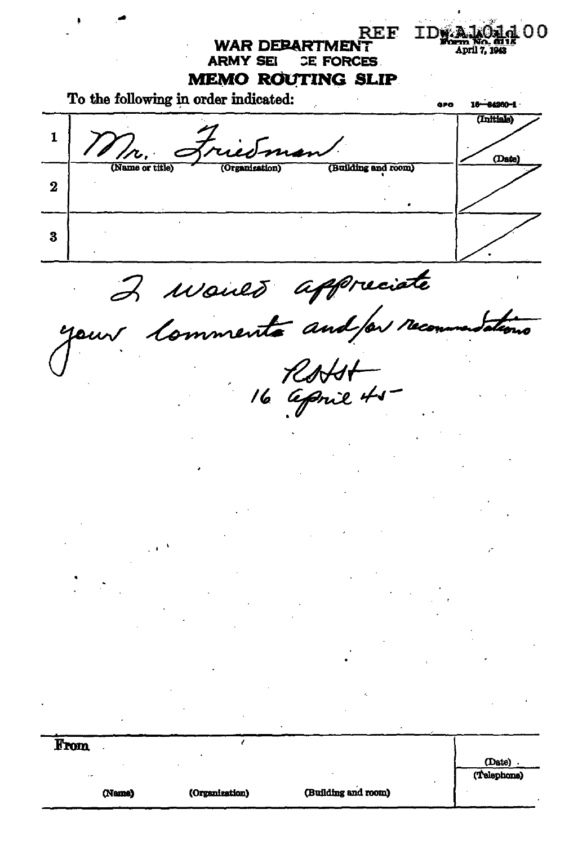REF. **TDWA. WAR DEBARTMENT** April 7, 194 **ARMY SEI** CE FORCES. **MEMO ROUTING SLIP** To the following in order indicated: ara -84200-1 (Initiale)  $\mathbf{1}$ (Date) ...<br>Name or title (Building and room)  $\overline{2}$ 3 2 Maines appreciate From (Date). (Telephone) (Building and room) (Name) (Organization)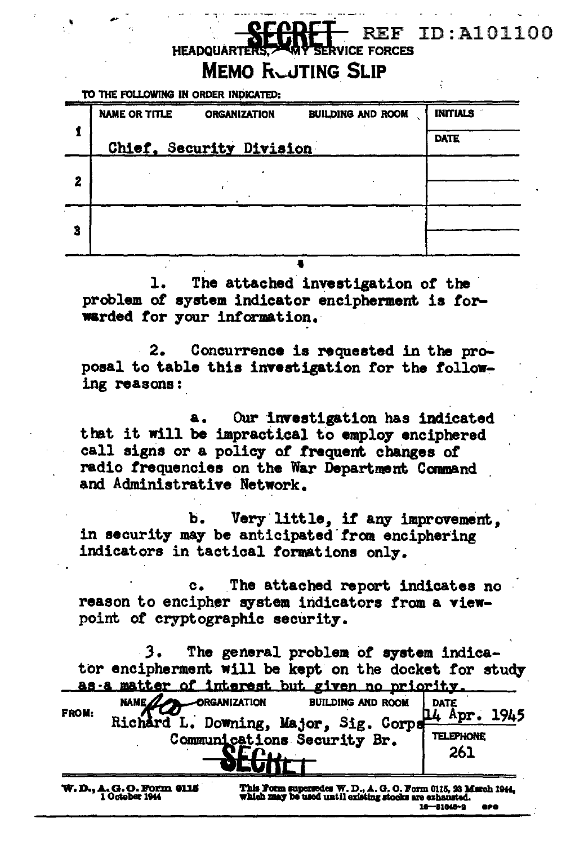#### ID: A101100 F **HEADOU MEMO RUJTING SLIP**

TO THE FOLLOWING IN ORDER INDICATED:

|   | <b>NAME OR TITLE</b><br><b>BUILDING AND ROOM</b><br><b>ORGANIZATION</b> | <b>INITIALS</b><br>14.75 |
|---|-------------------------------------------------------------------------|--------------------------|
|   | Chief, Security Division                                                | <b>DATE</b>              |
| 2 |                                                                         |                          |
|   |                                                                         |                          |
| 3 |                                                                         |                          |
|   |                                                                         |                          |

The attached investigation of the problem of system indicator encipherment is forwarded for your information.

Concurrence is requested in the pro- $2.$ posal to table this investigation for the following reasons:

Our investigation has indicated that it will be impractical to employ enciphered call signs or a policy of frequent changes of radio frequencies on the War Department Command and Administrative Network.

Very little, if any improvement. Ъ. in security may be anticipated from enciphering indicators in tactical formations only.

The attached report indicates no  $c_{\bullet}$ reason to encipher system indicators from a viewpoint of cryptographic security.

The general problem of system indicator encipherment will be kept on the docket for study as a matter of interest but given no priority.

|              | NAME <sub>AL</sub><br>ORGANIZATION    | <b>BUILDING AND ROOM</b> |     | DATE             |  |
|--------------|---------------------------------------|--------------------------|-----|------------------|--|
| <b>FROM:</b> | Richard L. Downing, Major, Sig. Corps |                          |     | Apr. $1945$      |  |
|              | Communications Security Br.           |                          |     | <b>TELEPHONE</b> |  |
|              |                                       |                          | 261 |                  |  |
|              |                                       |                          |     |                  |  |

**W.D., A.G.O. Form 0115**<br>1 October 1944

This Form supersedes W. D., A. G. O. Form 0115, 23 March 1944,<br>which may be used until cristing stocks are exhausted.  $16 - 81046 - 2$ apo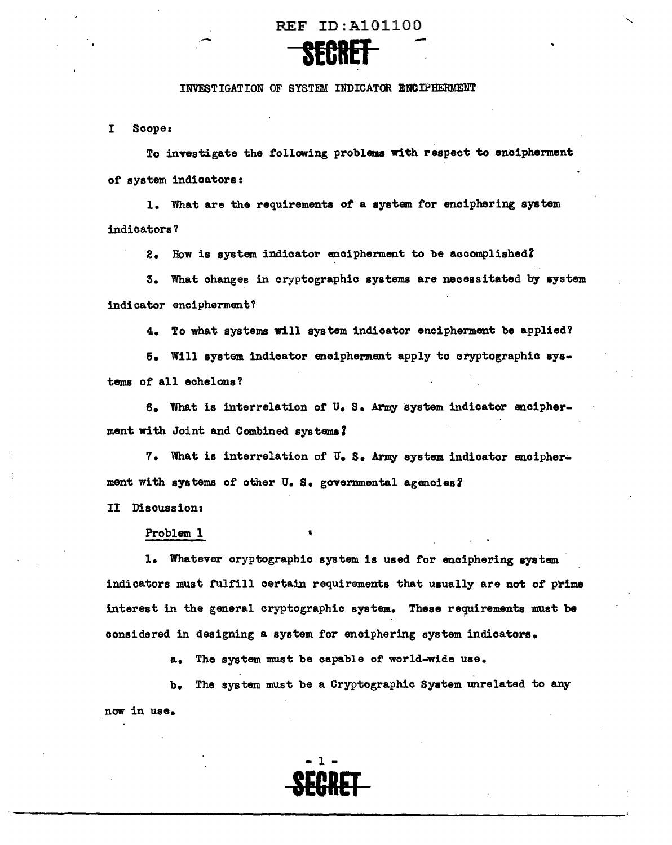

#### INVESTIGATION OF SYSTEM INDICATOR ENCIPHERMENT

I Scope:

To investigate the following problems with respect to enoipherment *ot* system indicators:

l. What are the requirements of a system for enciphering system indicators?

2. How is system indicator encipherment to be accomplished?

3. What changes in cryptographic systems are necessitated by system indicator encipherment?

4. To what systems will system indicator encipherment be applied?

5. Will system indicator encipherment apply to cryptographic systems of all echelons?

6. What is interrelation of u. S. Army system indicator enoipherment with Joint and Combined systems?

7. What is interrelation of U. S. Army system indicator encipherment with systems of other U. S. governmental agencies?

II Discussion:

#### Problem l

1. Whatever cryptographic system is used *tor* enciphering system indicators must tulfill certain requirements that usually are not of prime interest in the general cryptographic system. These requirements must be considered in designing a system tor enciphering system indicators.

a. The system must be capable of' world-wide use.

b. The system must be a Cryptographic System unrelated to any now in use.

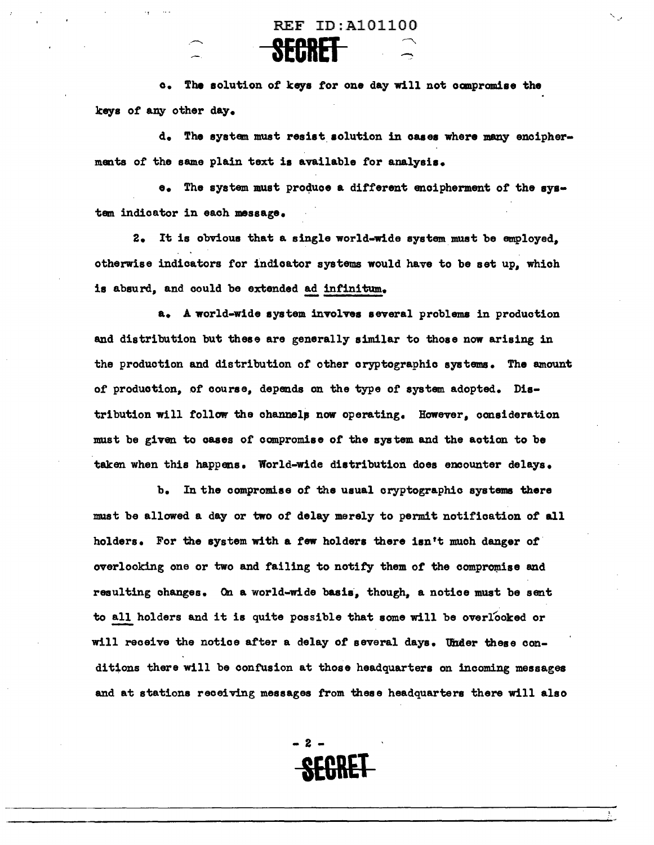**SEC RB** --

c. The solution *ot* keys tor one day will not ocmpromiae the keys of any other day.

d. The system must resist solution in cases where many enciphermanta *ot* the same plain text is available for analysis.

e. The system must produce a different encipherment of the system indicator in each message.

2. It is obvious that a single world-wide system must be employed, otherwise indicators tor indicator systems would have to be set up, which is absurd, and could be extended ad infinitum.

a. A world-wide system involves several problems in production and distribution but these are generally similar to those now arising in the production and distribution of other cryptographic systems. The amount of production, of course, depends on the type of system adopted. Distribution will follow the channels now operating. However, consideration must be given to oases of compromise of the system and the action to be taken when this happens. World-wide distribution does encounter delays.

b. In the compromise of the usual cryptographic systems there must be allowed a day or two *ot* delay merely to permit notification of all holders. For the system with a few holders there isn't much danger of overlooking one or two and failing to notify them of the compromise and resulting changes. *On.* a world-wide basis, though, a notice must be sent to all holders and it is quite possible that some will be overlooked or will receive the notice after a delay of several days. Under these conditions there will be confusion at those headquarters on incoming messages and at stations receiving messages from these headquarters there will also



 $\mathcal{L}_{\mathcal{A}}$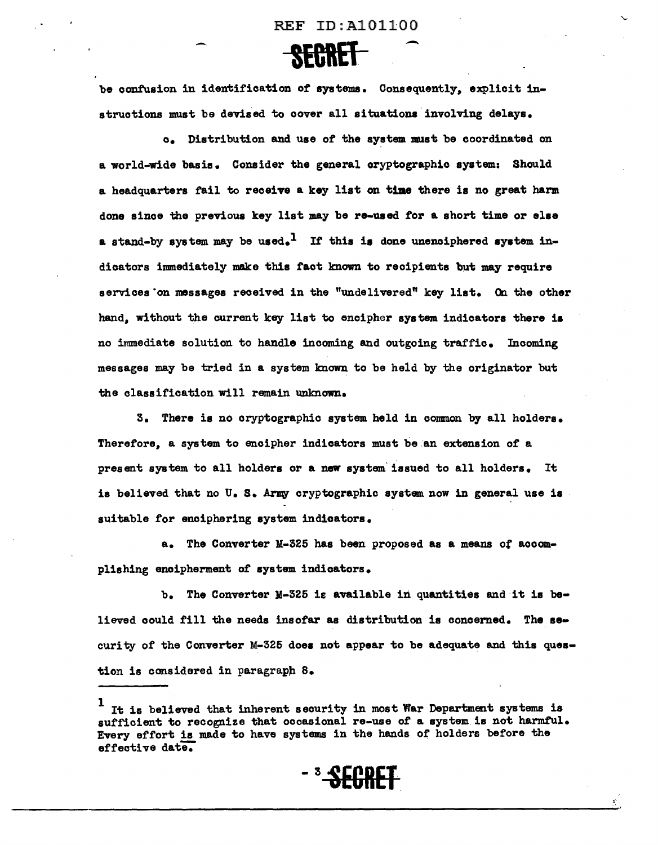

be confusion in identification of systems. Consequently, explicit instructions must be devised to cover all situations involving delays.

c. Distribution and use of the system must be coordinated on a world-wide basis. Consider the general cryptographic system: Should a headquarters fail to receive a key list on time there is no great harm done since the previous key list may be re-used *tor* a short time or else a stand-by system may be used.<sup>1</sup> If this is done unenciphered system indicators immediately make this tact known to recipients but may require services on messages received in the "undelivered" key list. On the other hand, without the current key list to encipher system indicators there ia no immediate solution to handle incoming and outgoing traffic. Incoming messages may be tried in a system known to be held by the originator but the classification will remain unknown.

3. There is no cryptographic system held in common by all holders. Therefore, a system to encipher indicators must be an extension of a present system to all holders or a new system· issued to all holders. It is believed that no U. S. Army cryptographic system now in general use is suitable for enciphering system indicators.

a. The Converter M-325 has been proposed as a means of aooomplishing enoipherment *ot* system indicators.

b. The Converter M-325 is available in quantities and it is believed could fill the needs insofar as distribution is concerned. The security of the Converter M-325 does not appear to be adequate and this question is considered in paragraph  $8.$ 

 $1$  It is believed that inherent security in most War Department systems is sufficient to recognize that occasional re-use of a system is not harmful. Every effort is made to have systems in the hands of holders before the effective date.



~··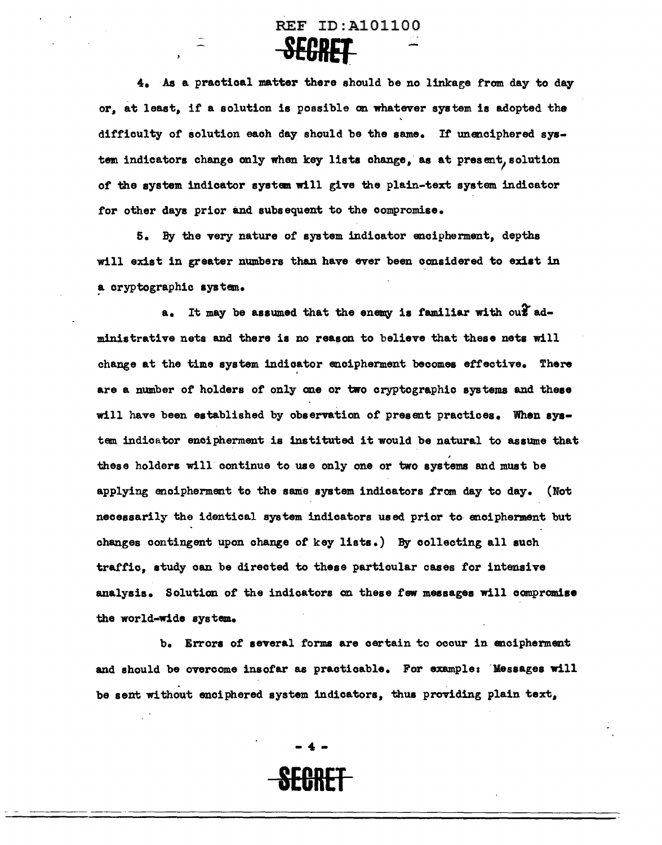## REF ID:A101100 **SEGRET**

4. As a practical matter there should be no linkage from day to day or, at least, it a solution is possible on whatever system is adopted the difficulty of solution each day should be the same. If unenciphered system indicators change only when key lists change, as at present, solution of the system indicator system will give the plain-text system indicator tor other days prior and subsequent to the compromise.

5. By the very nature of system indicator encipherment, depths will exist in greater numbers than have ever been considered to exist in a cryptographic system.

a. It may be assumed that the enemy is familiar with out administrative nets and there is no reason to believe that these nets will change at the time system indicator enoipherment becomes effective. There are a number of holders of only one or two cryptographic systems and these will have been established by observation of present practices. When system indicator encipherment is instituted it would be natural to assume that ' these holders will continue to use only one or two systems and must be applying encipherment to the same system indicators from day to day. (Not necessarily the identical system indicators used prior to anoipherment but changes contingent upon change or key lists.) By collecting all such traffic, study can be directed to these particular cases for intensive analysia. Solution of the indicators on these few messages will compromise the world-wide system.

b. Errors of several forms are certain to occur in ancipherment and should be overcome insofar as practicable. For example: Messages will be sent without enciphered system indicators, thus providing plain text,

> - 4 - **SEORET**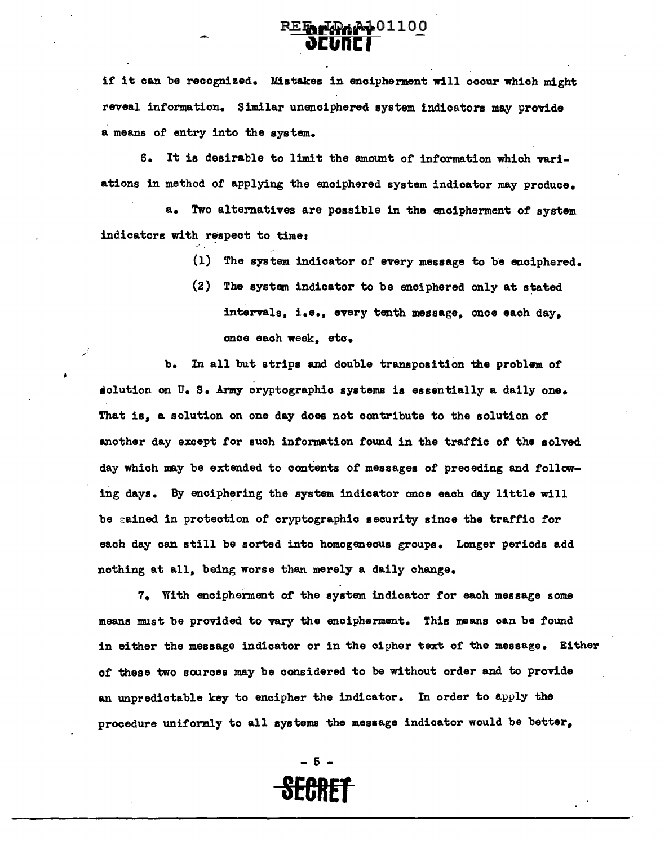# REF FRANC1100

if it can be recognized. Mistakes in enoipherment will occur which might reveal information. Similar unenciphered system indicators may provide a means of entry into the system.

6. It is desirable to limit the amount of information which variations in method of applying the enciphered system indicator may produce.

a. Two alternatives are possible in the encipherment of system. indicators with respect to time:

- $(1)$  The system indicator of every message to be enciphered.
- (2) The system indicator to be enciphered only at stated intervals, i.e., every tenth message, once each day, once each week, eto.

b. In all but strips and double transposition the problem of solution on U.S. Army cryptographic systems is essentially a daily one. That is, a solution on one day does not contribute to the solution *ot*  another day except tor such information found in the traffic *ot* the solved day which may be extended to contents of messages of preceding and following days. By enciphering the system indicator once each day little will be gained in protection of cryptographic security since the traffic for each day can still be sorted into homogeneous groups. Longer periods add nothing at all, being worse than merely a daily change.

7. With encipherment or the system indicator for each message some means must be provided to vary the encipherment. This means can be found in either the message indicator or in the cipher text or the message. Either of these two sources may be considered to be without order and to provide an unpredictable key to encipher the indicator. In order to apply the procedure uniformly to all systems the message indicator would be better,

> - 5 - **SECRET**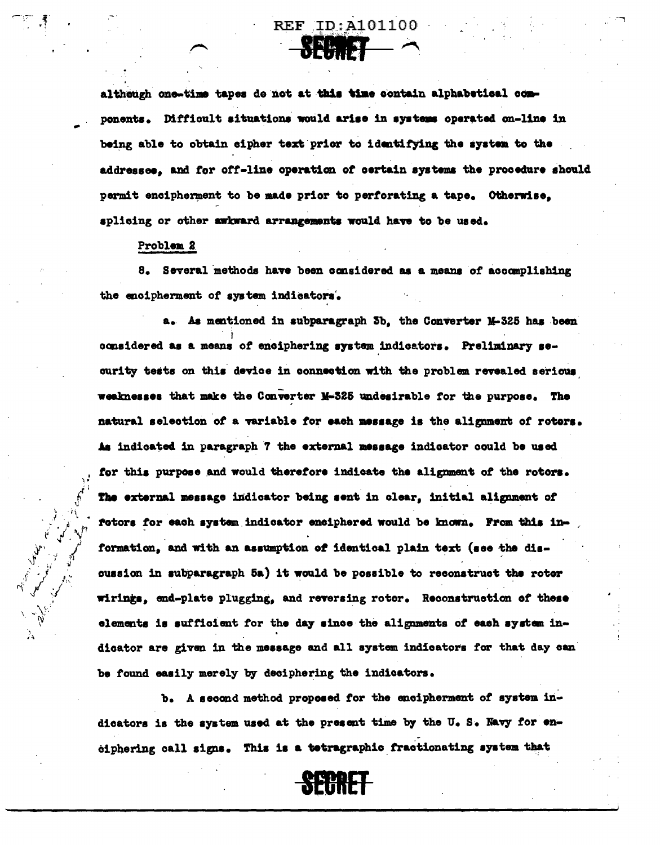although one-time tapes do not at this time contain alphabetical components. Difficult situations would arise in systems operated on-line in being able to obtain cipher text prior to identifying the system to the addressee, and for off-line operation of certain systems the procedure should permit encipherment to be made prior to perforating a tape. Otherwise. splicing or other awkward arrangements would have to be used.

**REF ID: A101100** NE HIST

#### Problem 2

8. Several methods have been considered as a means of accomplishing the encipherment of system indicators.

a. As mentioned in subparagraph 3b, the Converter M-325 has been considered as a means of enciphering system indicators. Preliminary seourity tests on this device in connection with the problem revealed serious weaknesses that make the Converter M-325 undesirable for the purpose. The natural selection of a variable for each message is the alignment of roters. As indicated in paragraph 7 the external message indicator could be used for this purpose and would therefore indicate the alignment of the rotors. The external message indicator being sent in clear, initial alignment of fotors for each system indicator enciphered would be known. From this information, and with an assumption of identical plain text (see the discussion in subparagraph 5a) it would be possible to reconstruct the roter wirings, end-plate plugging, and reversing rotor. Reconstruction of these elements is sufficient for the day since the alignments of each system indicator are given in the message and all system indicators for that day can be found easily merely by deciphering the indicators.

b. A second method proposed for the encipherment of system indicators is the system used at the present time by the U.S. Navy for enciphering call signs. This is a tetragraphic fractionating system that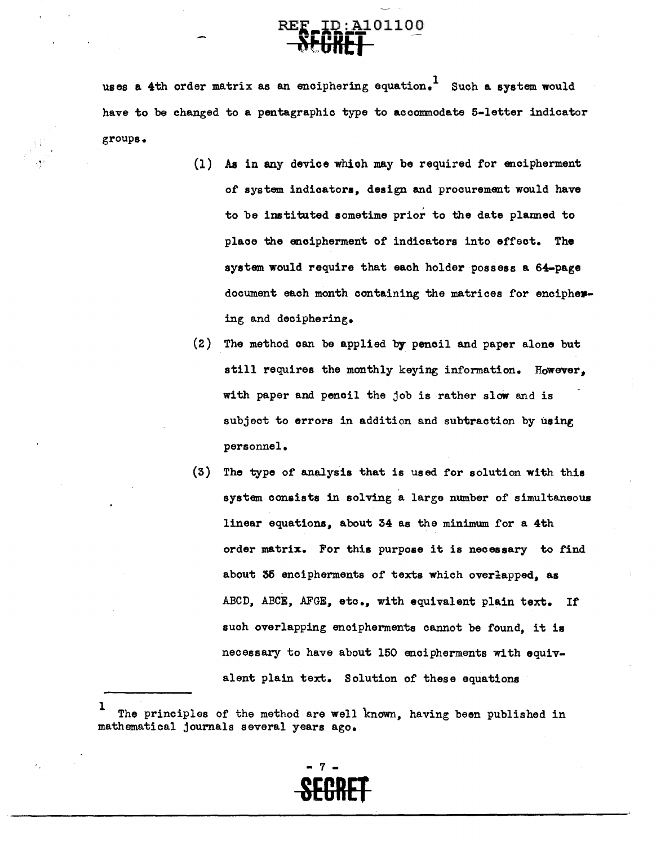# :A101100

uses a 4th order matrix as an enciphering equation.<sup>1</sup> Such a system would have to be changed to a pentagraphic type to accommodate 5-letter indicator groups.

- (1) Aa in any device whioh may be required for encipherment of system indicators, design and procurement would have to be instituted sometime prior to the date planned to place the encipherment of indicators into effect. The system would require that each holder possess a 64-page document each month containing the matrices for enciphering and deciphering.
- (2) The method can be applied by pencil and paper alone but still requires the monthly keying information. However, with paper and pencil the job is rather slow and is subject to errors in addition and subtraction by using personnel.
- $(3)$  The type of analysis that is used for solution with this system consists in solving a large number of simultaneous linear equations, about 34 as the minimum for a 4th order matrix. For this purpose it is necessary to find about 35 encipherments of texts which overlapped, as ABCD, ABCE, AFGE, etc., with equivalent plain text. If such overlapping encipherments cannot be found, it is necessary to have about 150 anoipherments With equivalent plain text. Solution of these equations

1 The principles of the method are well known, having been published in mathematical journals several years ago.

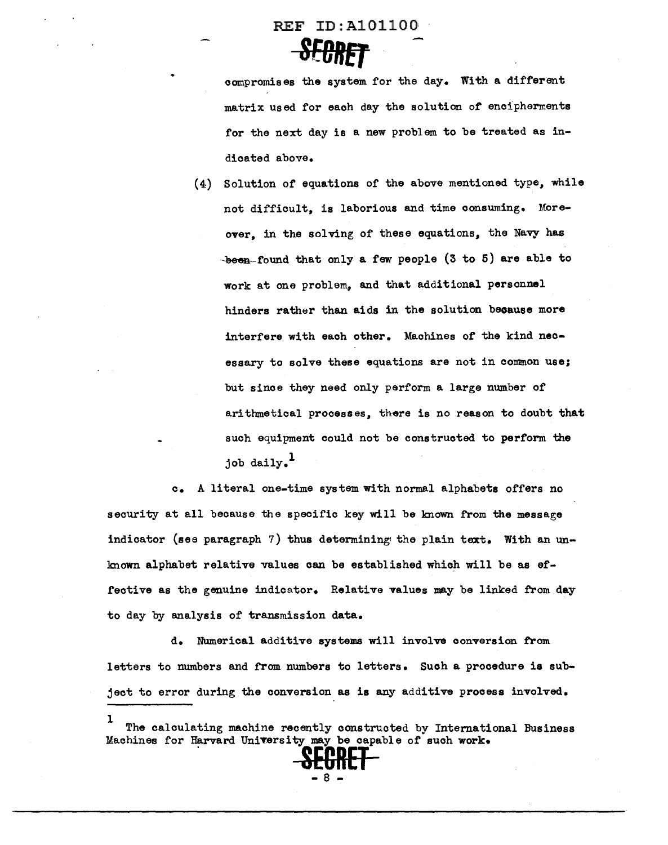

compromises the system for the day. With a different matrix used for each day the solution of encipherments for the next day is a new problem to be treated as indicated above.

(4) Solution of equations of the above mentioned type, while not difficult, is laborious and time conswning. Moreover. in the solving of these equations, the Navy has  $-$ been-found that only a few people  $(3$  to 5) are able to work at one problem, and that additional personnel hinders rather than aids in the solution beoause more interfere with each other. Machines of the kind necessary to solve these equations are not in common use; but since they need only perform a large number of arithmetical processes, there is no reason to doubt that such equipment could not be constructed to perform the job daily. $<sup>1</sup>$ </sup>

c. A literal one-time system.with normal alphabets offers no security at all because the specific key will be known from the message indicator (see paragraph 7) thus determining the plain text. With an unknown alphabet relative values can be established which will be as effective as the genuine indicator. Relative values may be linked from day to day by analysis of transmission data.

d. Numerical additive systems will involve conversion from letters to numbers and from numbers to letters. Such a procedure is subject to error during the conversion as is any additive process involved.

l The calculating machine recently constructed by International Business Machines for Harvard University may be capable of such work.

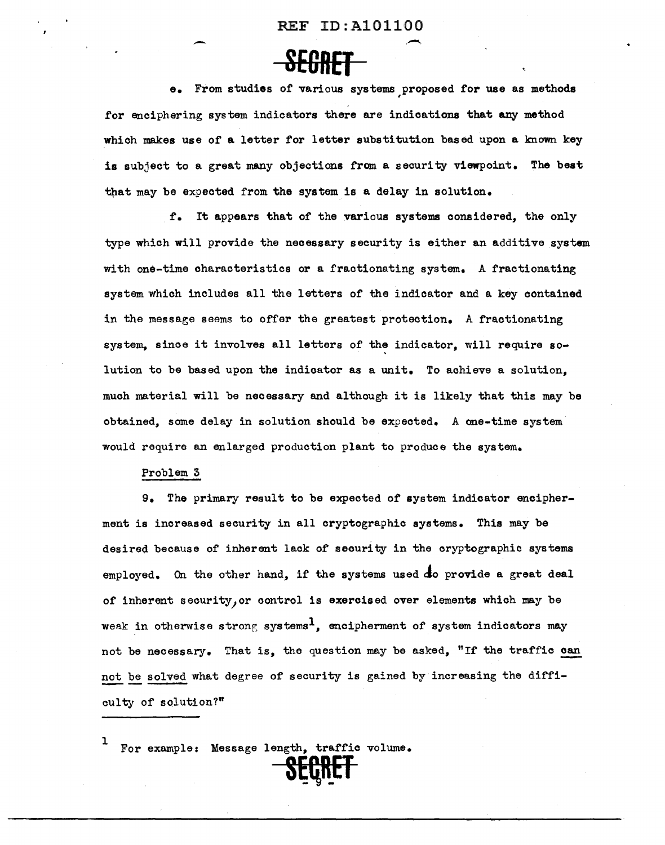REF ID:A

e. From studies of various systems proposed for use as methods , for enciphering system indicators there are indications that any method which makes use of a letter for letter substitution based upon a known key is subject to a great many objections from a security viewpoint. The best that may be expected from the system is a delay in solution.

f. It appears that of the various systems considered, the only type which will provide the necessary security is either an additive system with one-time characteristics or a fractionating system. A fractionating system which includes all the letters of the indicator and a key contained in the message seems to offer the greatest protection. A fractionating system, since it involves all letters of the indicator, will require solution to be based upon the indicator as a unit. To achieve a solution, much material will be necessary and although it is likely that this may be obtained, some delay in solution should be expected. A one-time system would require an enlarged production plant to produce the system.

#### Problem 3

9. The primary result to be expected of system indicator encipherment is increased security in all cryptographic systems. This may be desired because of inherent lack of security in the cryptographic systems employed. On the other hand, if the systems used  $d$ o provide a great deal of inherent security, or control is exercised over elements which may be weak in otherwise strong systems<sup>1</sup>. encipherment of system indicators may not be necessary. That is, the question may be asked, "If the traffic can not be solved what degree of security is gained by increasing the difficulty of solution?"

S~Rupi

1 For example: Message length, traffic volume.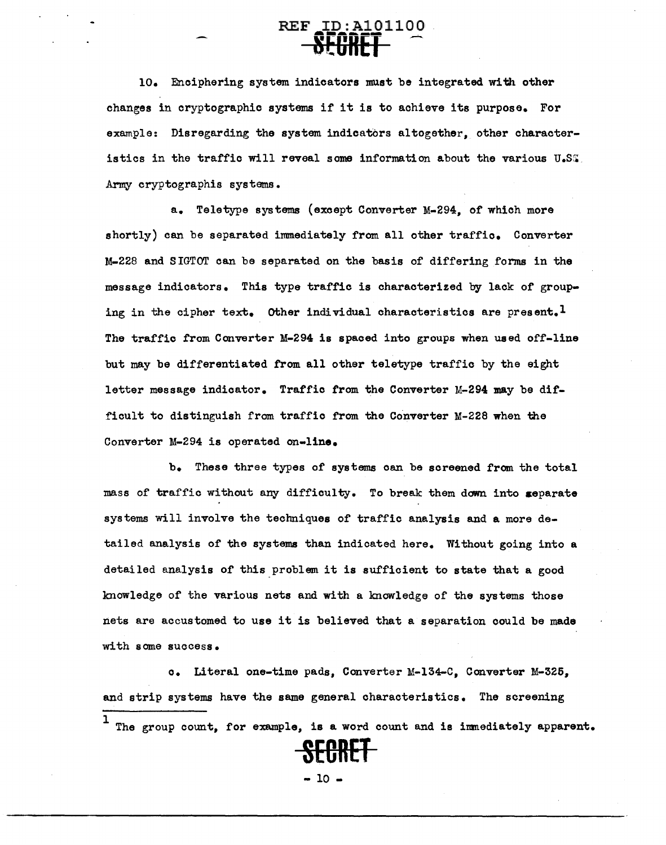## REF ID:A101100 **SECRET**

10. Enciphering system indicators must be integrated with other changes in cryptographic systems if it is to achieve its purpose. For example: Disregarding the system indicators altogether, other characteristics in the traffic will reveal some information about the various  $U<sub>e</sub>S<sub>s</sub>$ . Army cryptographis systems.

a. Teletype systems (except Converter M-294, of which more shortly) can be separated immediately from all other traffic. Converter M-228 and SIGTOT can be separated on the basis of differing forms in the message indicators. This type traffic is characterized by lack of grouping in the cipher text. Other individual characteristics are present.<sup>1</sup> The traffic from Converter M-294 is spaced into groups when used off-line but may be differentiated from all other teletype traffic by the eight letter message indicator. Traffic from the Converter M-294 may be difficult to distinguish from traffic from the Converter M-228 when the Converter M-294 is operated on-line.

b. These three types of systems can be screened from the total mass of traffic without any difficulty. To break them down into separate systems will involve the techniques of traffic analysis and a more detailed analysis of the systems than indicated here. Without going into a detailed analysis of this problem it is sufficient to state that a good knowledge of the various nets and with a knowledge of the systems those nets are accustomed to use it is believed that a separation could be made with some success.

c. Literal one-time pads, Converter M-134-C, Converter M-325, and strip systems have the same general characteristics. The screening

 $1$  The group count, for example, is a word count and is immediately apparent.



 $-10 -$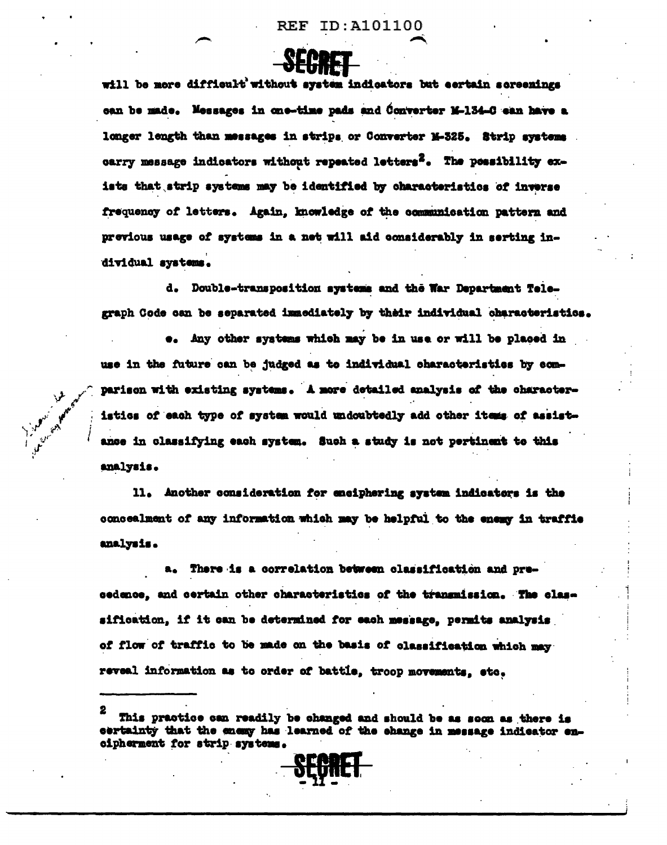

will be more difficult without system indicators but eertain screenings can be made. Messages in one-time pads and Converter M-134-C can have a longer length than messages in strips or Converter M-325. Strip systems carry message indicators without repeated letters<sup>2</sup>. The possibility exists that strip systems may be identified by characteristics of inverse frequency of letters. Again, knowledge of the communication pattern and previous usage of systems in a net will aid considerably in serting individual systems.

d. Double-transposition systems and the War Department Telegraph Code can be separated immediately by their individual characteristics.

e. Any other systems which may be in use or will be placed in use in the future can be judged as to individual characteristics by comparison with existing systems. A more detailed analysis of the characteristics of each type of system would undoubtedly add other items of assistance in classifying each system. Such a study is not pertinent to this analysis.

11. Another consideration for enciphering system indicators is the concealment of any information which may be helpful to the enemy in traffie analysis.

a. There is a correlation between classification and precedence, and certain other characteristics of the transmission. The classification, if it can be determined for each message, permits analysis of flow of traffic to be made on the basis of classification which may reveal information as to order of battle, troop movements, etc.

This practice can readily be changed and should be as soon as there is certainty that the enemy has learned of the change in message indicator encipherment for strip systems.

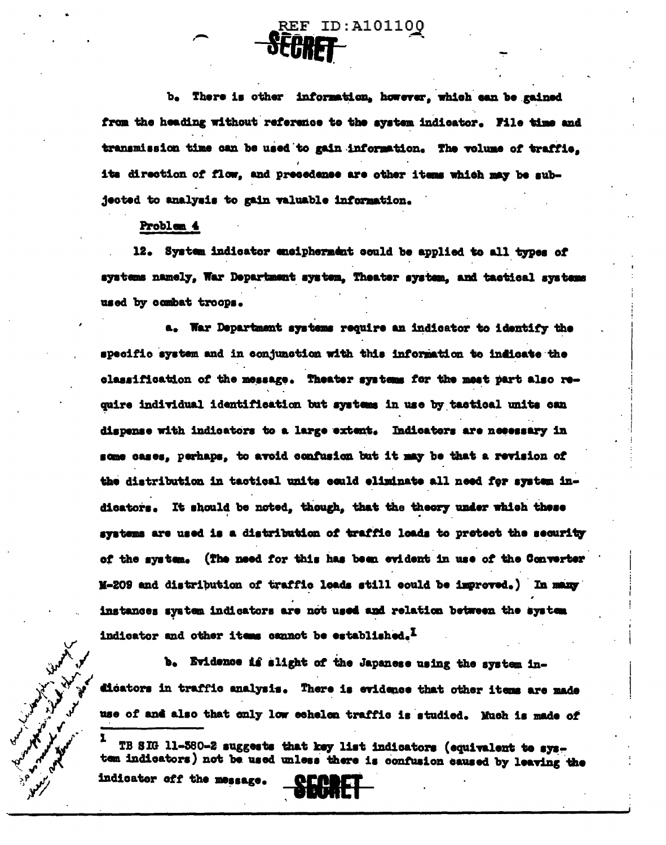b. There is other information, however, which can be gained from the heading without reference to the system indicator. File time and transmission time can be used to gain information. The volume of traffic, its direction of flow, and precedence are other items which may be subjected to analysis to gain valuable information.

**REF ID:A101100** 

#### Problem 4

12. System indicator encipherment could be applied to all types of systems namely, War Department system. Theater system, and tactical systems used by combat troops.

a. War Department systems require an indicator to identify the specific system and in conjunction with this information to indicate the classification of the message. Theater systems for the mest part also require individual identification but systems in use by tactical units can dispense with indicators to a large extent. Indicators are necessary in some cases. perhaps, to avoid confusion but it may be that a revision of the distribution in tactical units could eliminate all need for system indicators. It should be noted, though, that the theory under which these systems are used is a distribution of traffic loads to protect the security of the system. (The need for this has been evident in use of the Converter M-209 and distribution of traffic loads still could be improved.) In many instances system indicators are not used and relation between the system indicator and other items cannot be established.<sup>1</sup>

b. Evidence is slight of the Japanese using the system indicators in traffic analysis. There is evidence that other items are made use of and also that only low echelon traffic is studied. Much is made of

TB SIG 11-380-2 suggests that key list indicators (equivalent to system indicators) not be used unless there is confusion caused by leaving the

indicator off the message.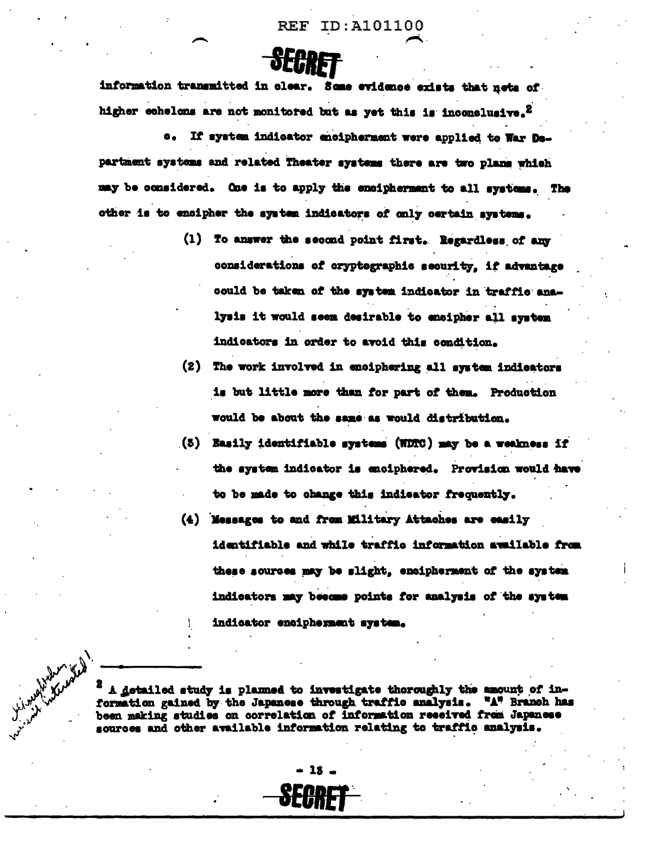information transmitted in clear. Some evidence exists that nets of higher echelons are not monitored but as yet this is inconclusive.<sup>2</sup>

If system indicator encipherment were applied to War De- $\bullet$ . partment systems and related Theater systems there are two plans which may be considered. One is to apply the encipherment to all systems. The other is to encipher the system indicators of only certain systems.

- (1) To answer the second point first. Regardless of any considerations of cryptographic security, if advantage could be taken of the system indicator in traffic analysis it would seem desirable to encipher all system indicators in order to avoid this condition.
- (2) The work involved in enciphering all system indicators is but little more than for part of them. Production would be about the same as would distribution.
- (3) Easily identifiable systems (WDTC) may be a weakness if the system indicator is enciphered. Provision would have to be made to change this indicator frequently.
- (4) Messages to and from Military Attaches are easily identifiable and while traffic information awailable from these sources may be slight, encipherment of the system indicators may become points for analysis of the system indicator encipherment system.

A detailed study is planned to investigate thoroughly the amount of information gained by the Japanese through traffic analysis. "A" Branch has been making studies on correlation of information reseived from Japanese sources and other available information relating to traffic analysis.

 $-15 -$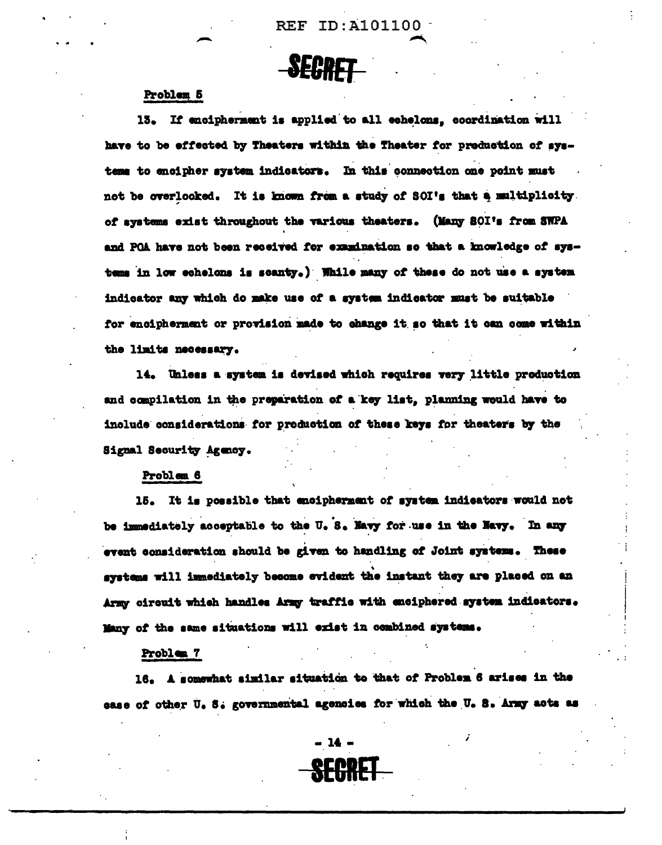# **SECRET**

#### Problem 5

13. If encipherment is applied to all echelons, coordination will have to be effected by Theaters within the Theater for preduction of systeme to encipher system indicators. In this connection one point must not be overlooked. It is known from a study of SOI's that a multiplicity. of systems exist throughout the various theaters. (Many SOI's from SWPA and POA have not been received for examination so that a knowledge of systems in low echelons is scanty.) While many of these do not use a system indicator any which do make use of a system indicator must be suitable for encipherment or provision made to change it so that it can come within the limits necessary.

14. Unless a system is devised which requires very little production and compilation in the preparation of a key list, planning would have to include considerations for production of these keys for theaters by the Signal Security Agency.

Problem 6

15. It is possible that encipherment of system indicators would not be immediately acceptable to the U.S. Navy for use in the Navy. In any event consideration should be given to handling of Joint systems. These systems will immediately become evident the instant they are placed on an Army circuit which handles Army traffic with enciphered system indicators. Many of the same situations will exist in combined systems.

#### Problem 7

16. A somewhat similar situation to that of Problem 6 arises in the case of other U. S. governmental agencies for which the U. S. Army acts as

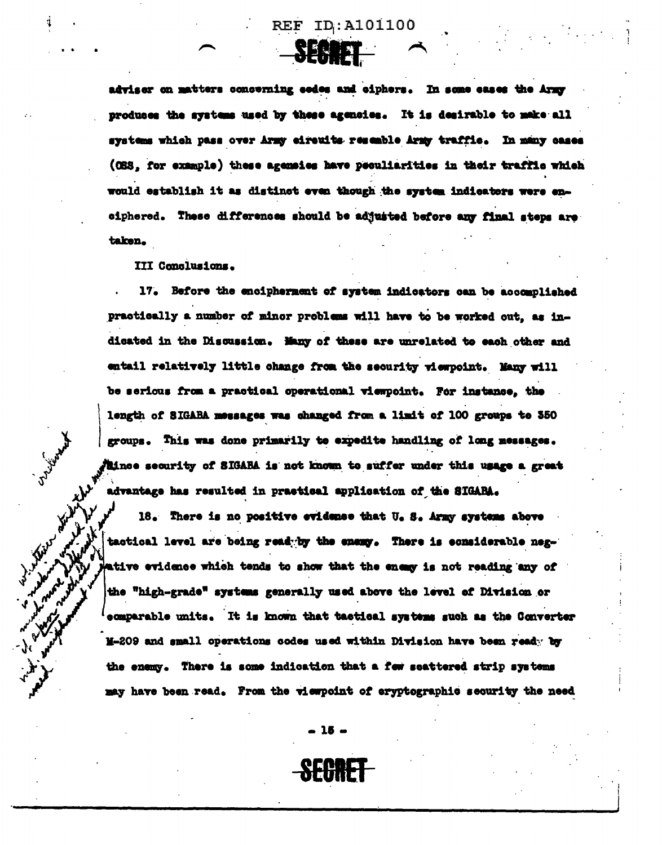**NEN TE** 

adviser on matters concerning eedes and ciphers. In some cases the Army produces the systems used by these agencies. It is desirable to make all systems which pass over Army circuits resemble Army traffic. In many cases (OSS, for example) these agencies have peculiarities in their traffic which would establish it as distinct even though the system indicators were enciphered. These differences should be adjusted before any final steps are taken.

III Conclusions.

July Maple

W. Willy.

17. Before the encipherment of system indicators can be accomplished practically a number of minor problems will have to be worked out, as indicated in the Discussion. Many of these are unrelated to each other and entail relatively little change from the security viewpoint. Many will be serious from a practical operational viewpoint. For instance, the length of SIGABA messages was changed from a limit of 100 groups to 350 groups. This was done primarily to expedite handling of long messages. kince security of SIGABA is not known to suffer under this usage a great advantage has resulted in practical application of the SIGARA.

18. There is no positive evidence that U. S. Army systems above tactical level are being readyby the enemy. There is considerable negative evidence which tends to show that the energy is not reading any of the "high-grade" systems generally used above the level of Division or ecmparable units. It is known that tactical systems such as the Converter M-209 and small operations codes used within Division have been ready by the enemy. There is some indication that a few seattered strip systems may have been read. From the viewpoint of eryptographic security the need

 $-15-$ 

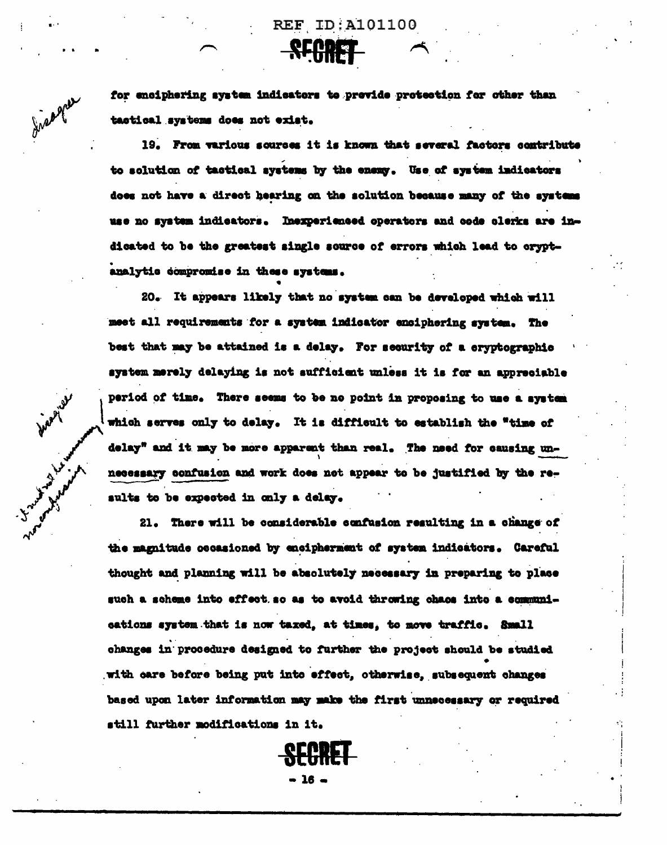

for enciphering system indicators to previde protection for other than tactical systems does not exist.

19. From various sources it is known that several factors contribute to solution of tactical systems by the enemy. Use of system indicators does not have a direct hearing on the solution because many of the systems use no system indicators. Inexperienced operators and code clerks are indicated to be the greatest single source of errors which lead to cryptanalytic compromise in these systems.

20. It appears likely that no system can be developed which will meet all requirements for a system indicator enciphering system. The best that may be attained is a delay. For security of a cryptographic system merely delaying is not sufficient unless it is for an appreciable period of time. There seems to be no point in proposing to use a system which serves only to delay. It is difficult to establish the "time of delay" and it may be more apparent than real. The need for causing unnecessary confusion and work does not appear to be justified by the results to be expected in only a delay.

21. There will be considerable confusion resulting in a change of the magnitude occasioned by encipherment of system indicators. Careful thought and planning will be absolutely necessary in preparing to place such a scheme into effect so as to avoid throwing chaos into a communications system that is now taxed, at times, to move traffic. Small changes in procedure designed to further the project should be studied with care before being put into effect, otherwise, subsequent changes based upon later information may make the first unnecessary or required still further modifications in it.

**SECRET** 

 $\bullet$  16  $\bullet$